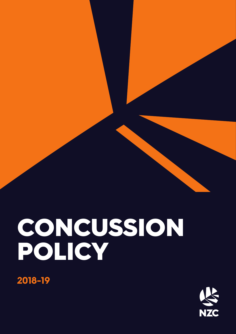



**2018-19**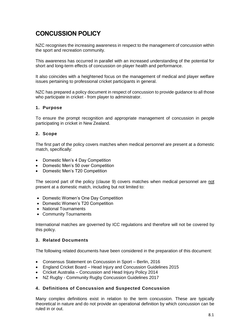# **CONCUSSION POLICY**

NZC recognises the increasing awareness in respect to the management of concussion within the sport and recreation community.

This awareness has occurred in parallel with an increased understanding of the potential for short and long-term effects of concussion on player health and performance.

It also coincides with a heightened focus on the management of medical and player welfare issues pertaining to professional cricket participants in general.

NZC has prepared a policy document in respect of concussion to provide guidance to all those who participate in cricket - from player to administrator.

# **1. Purpose**

To ensure the prompt recognition and appropriate management of concussion in people participating in cricket in New Zealand.

#### **2. Scope**

The first part of the policy covers matches when medical personnel are present at a domestic match, specifically:

- Domestic Men's 4 Day Competition
- Domestic Men's 50 over Competition
- Domestic Men's T20 Competition

The second part of the policy (clause 9) covers matches when medical personnel are not present at a domestic match, including but not limited to:

- Domestic Women's One Day Competition
- Domestic Women's T20 Competition
- National Tournaments
- Community Tournaments

International matches are governed by ICC regulations and therefore will not be covered by this policy.

# **3. Related Documents**

The following related documents have been considered in the preparation of this document:

- Consensus Statement on Concussion in Sport Berlin, 2016
- England Cricket Board Head Injury and Concussion Guidelines 2015
- Cricket Australia Concussion and Head Injury Policy 2014
- NZ Rugby Community Rugby Concussion Guidelines 2017

# **4. Definitions of Concussion and Suspected Concussion**

Many complex definitions exist in relation to the term concussion. These are typically theoretical in nature and do not provide an operational definition by which concussion can be ruled in or out.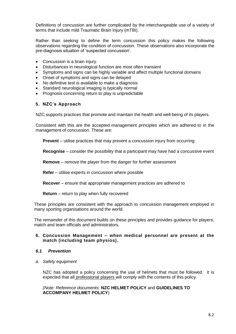Definitions of concussion are further complicated by the interchangeable use of a variety of terms that include mild Traumatic Brain Injury (mTBI).

Rather than seeking to define the term concussion this policy makes the following observations regarding the condition of concussion. These observations also incorporate the pre-diagnosis situation of 'suspected concussion'.

- Concussion is a brain injury.
- Disturbances in neurological function are most often transient
- Symptoms and signs can be highly variable and affect multiple functional domains
- Onset of symptoms and signs can be delayed
- No definitive test is available to make a diagnosis
- Standard neurological imaging is typically normal
- Prognosis concerning return to play is unpredictable

#### **5. NZC's Approach**

NZC supports practices that promote and maintain the health and well-being of its players.

Consistent with this are the accepted management principles which are adhered to in the management of concussion. These are:

**Prevent** – utilise practices that may prevent a concussion injury from occurring

**Recognise** – consider the possibility that a participant may have had a concussive event

**Remove** – remove the player from the danger for further assessment

**Refer** – utilise experts in concussion where possible

**Recover** – ensure that appropriate management practices are adhered to

**Return** – return to play when fully recovered

These principles are consistent with the approach to concussion management employed in many sporting organisations around the world.

The remainder of this document builds on these principles and provides guidance for players, match and team officials and administrators.

#### **6. Concussion Management – when medical personnel are present at the match (including team physios).**

# *6.1 Prevention*

*a. Safety equipment*

NZC has adopted a policy concerning the use of helmets that must be followed. It is expected that all professional players will comply with the contents of this policy.

*(Note: Reference documents:* **NZC HELMET POLICY** and **GUIDELINES TO ACCOMPANY HELMET POLICY**)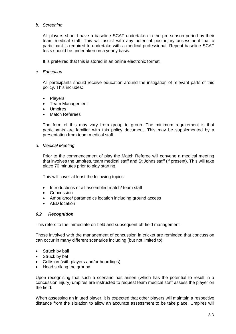# *b. Screening*

All players should have a baseline SCAT undertaken in the pre-season period by their team medical staff. This will assist with any potential post-injury assessment that a participant is required to undertake with a medical professional. Repeat baseline SCAT tests should be undertaken on a yearly basis.

It is preferred that this is stored in an online electronic format.

# *c. Education*

All participants should receive education around the instigation of relevant parts of this policy. This includes:

- **Players**
- Team Management
- **Umpires**
- Match Referees

The form of this may vary from group to group. The minimum requirement is that participants are familiar with this policy document. This may be supplemented by a presentation from team medical staff.

*d. Medical Meeting*

Prior to the commencement of play the Match Referee will convene a medical meeting that involves the umpires, team medical staff and St Johns staff (if present). This will take place 70 minutes prior to play starting.

This will cover at least the following topics:

- Introductions of all assembled match/ team staff
- **Concussion**
- Ambulance/ paramedics location including ground access
- AED location

# *6.2 Recognition*

This refers to the immediate on-field and subsequent off-field management.

Those involved with the management of concussion in cricket are reminded that concussion can occur in many different scenarios including (but not limited to):

- Struck by ball
- Struck by bat
- Collision (with players and/or hoardings)
- Head striking the ground

Upon recognising that such a scenario has arisen (which has the potential to result in a concussion injury) umpires are instructed to request team medical staff assess the player on the field.

When assessing an injured player, it is expected that other players will maintain a respective distance from the situation to allow an accurate assessment to be take place. Umpires will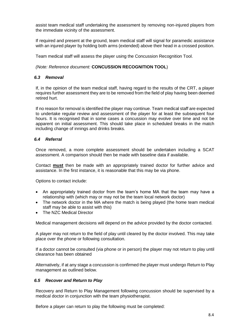assist team medical staff undertaking the assessment by removing non-injured players from the immediate vicinity of the assessment.

If required and present at the ground, team medical staff will signal for paramedic assistance with an injured player by holding both arms (extended) above their head in a crossed position.

Team medical staff will assess the player using the Concussion Recognition Tool.

*(Note: Reference document:* **CONCUSSION RECOGNITION TOOL**)

# *6.3 Removal*

If, in the opinion of the team medical staff, having regard to the results of the CRT, a player requires further assessment they are to be removed from the field of play having been deemed retired hurt.

If no reason for removal is identified the player may continue. Team medical staff are expected to undertake regular review and assessment of the player for at least the subsequent four hours. It is recognised that in some cases a concussion may evolve over time and not be apparent on initial assessment. This should take place in scheduled breaks in the match including change of innings and drinks breaks.

#### *6.4 Referral*

Once removed, a more complete assessment should be undertaken including a SCAT assessment. A comparison should then be made with baseline data if available.

Contact **must** then be made with an appropriately trained doctor for further advice and assistance. In the first instance, it is reasonable that this may be via phone.

Options to contact include:

- An appropriately trained doctor from the team's home MA that the team may have a relationship with (which may or may not be the team local network doctor)
- The network doctor in the MA where the match is being played (the home team medical staff may be able to assist with this)
- The NZC Medical Director

Medical management decisions will depend on the advice provided by the doctor contacted.

A player may not return to the field of play until cleared by the doctor involved. This may take place over the phone or following consultation.

If a doctor cannot be consulted (via phone or in person) the player may not return to play until clearance has been obtained

Alternatively, if at any stage a concussion is confirmed the player must undergo Return to Play management as outlined below.

# *6.5 Recover and Return to Play*

Recovery and Return to Play Management following concussion should be supervised by a medical doctor in conjunction with the team physiotherapist.

Before a player can return to play the following must be completed: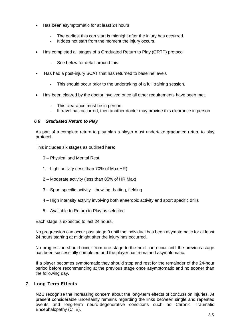- Has been asymptomatic for at least 24 hours
	- The earliest this can start is midnight after the injury has occurred.
	- It does not start from the moment the injury occurs.
- Has completed all stages of a Graduated Return to Play (GRTP) protocol
	- See below for detail around this.
- Has had a post-injury SCAT that has returned to baseline levels
	- This should occur prior to the undertaking of a full training session.
- Has been cleared by the doctor involved once all other requirements have been met.
	- This clearance must be in person
		- If travel has occurred, then another doctor may provide this clearance in person

# *6.6 Graduated Return to Play*

As part of a complete return to play plan a player must undertake graduated return to play protocol.

This includes six stages as outlined here:

- 0 Physical and Mental Rest
- 1 Light activity (less than 70% of Max HR)
- 2 Moderate activity (less than 85% of HR Max)
- 3 Sport specific activity bowling, batting, fielding
- 4 High intensity activity involving both anaerobic activity and sport specific drills
- 5 Available to Return to Play as selected

Each stage is expected to last 24 hours.

No progression can occur past stage 0 until the individual has been asymptomatic for at least 24 hours starting at midnight after the injury has occurred.

No progression should occur from one stage to the next can occur until the previous stage has been successfully completed and the player has remained asymptomatic.

If a player becomes symptomatic they should stop and rest for the remainder of the 24-hour period before recommencing at the previous stage once asymptomatic and no sooner than the following day.

# **7. Long Term Effects**

NZC recognise the increasing concern about the long-term effects of concussion injuries. At present considerable uncertainty remains regarding the links between single and repeated events and long-term neuro-degenerative conditions such as Chronic Traumatic Encephalopathy (CTE).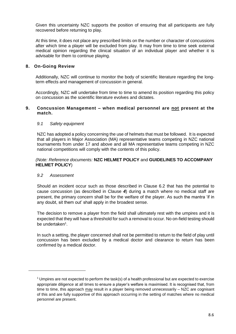Given this uncertainty NZC supports the position of ensuring that all participants are fully recovered before returning to play.

At this time, it does not place any prescribed limits on the number or character of concussions after which time a player will be excluded from play. It may from time to time seek external medical opinion regarding the clinical situation of an individual player and whether it is advisable for them to continue playing.

# **8. On-Going Review**

Additionally, NZC will continue to monitor the body of scientific literature regarding the longterm effects and management of concussion in general.

Accordingly, NZC will undertake from time to time to amend its position regarding this policy on concussion as the scientific literature evolves and dictates.

#### **9. Concussion Management – when medical personnel are not present at the match.**

#### *9.1 Safety equipment*

NZC has adopted a policy concerning the use of helmets that must be followed. It is expected that all players in Major Association (MA) representative teams competing in NZC national tournaments from under 17 and above and all MA representative teams competing in NZC national competitions will comply with the contents of this policy.

#### *(Note: Reference documents:* **NZC HELMET POLICY** and **GUIDELINES TO ACCOMPANY HELMET POLICY**)

# *9.2 Assessment*

-

Should an incident occur such as those described in Clause 6.2 that has the potential to cause concussion (as described in Clause *4*) during a match where no medical staff are present, the primary concern shall be for the welfare of the player. As such the mantra 'if in any doubt, sit them out' shall apply in the broadest sense.

The decision to remove a player from the field shall ultimately rest with the umpires and it is expected that they will have a threshold for such a removal to occur. No on-field testing should be undertaken<sup>1</sup>.

In such a setting, the player concerned shall not be permitted to return to the field of play until concussion has been excluded by a medical doctor and clearance to return has been confirmed by a medical doctor.

 $1$  Umpires are not expected to perform the task(s) of a health professional but are expected to exercise appropriate diligence at all times to ensure a player's welfare is maximised. It is recognised that, from time to time, this approach may result in a player being removed unnecessarily – NZC are cognisant of this and are fully supportive of this approach occurring in the setting of matches where no medical personnel are present.